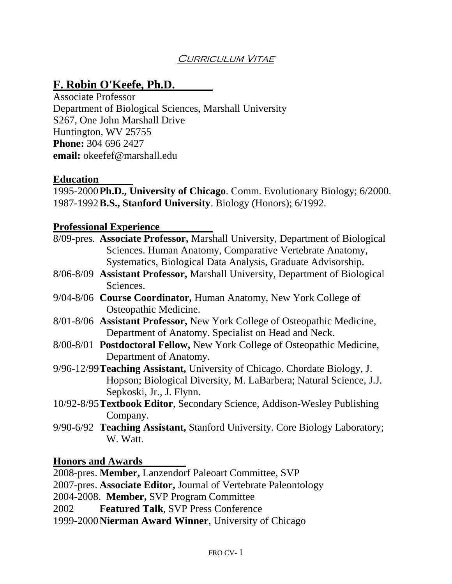### CURRICULUM VITAE

# **F. Robin O'Keefe, Ph.D.**

Associate Professor Department of Biological Sciences, Marshall University S267, One John Marshall Drive Huntington, WV 25755 **Phone:** 304 696 2427 **email:** okeefef@marshall.edu

### **Education**

1995-2000**Ph.D., University of Chicago**. Comm. Evolutionary Biology; 6/2000. 1987-1992**B.S., Stanford University**. Biology (Honors); 6/1992.

### **Professional Experience**

| 8/09-pres. Associate Professor, Marshall University, Department of Biological |
|-------------------------------------------------------------------------------|
| Sciences. Human Anatomy, Comparative Vertebrate Anatomy,                      |
| Systematics, Biological Data Analysis, Graduate Advisorship.                  |
| 8/06-8/09 Assistant Professor, Marshall University, Department of Biological  |
| Sciences.                                                                     |
| 9/04-8/06 Course Coordinator, Human Anatomy, New York College of              |
| Osteopathic Medicine.                                                         |
| 8/01-8/06 Assistant Professor, New York College of Osteopathic Medicine,      |
| Department of Anatomy. Specialist on Head and Neck.                           |
| 8/00-8/01 Postdoctoral Fellow, New York College of Osteopathic Medicine,      |
| Department of Anatomy.                                                        |
| 9/96-12/99 Teaching Assistant, University of Chicago. Chordate Biology, J.    |
| Hopson; Biological Diversity, M. LaBarbera; Natural Science, J.J.             |
| Sepkoski, Jr., J. Flynn.                                                      |
| 10/92-8/95 Textbook Editor, Secondary Science, Addison-Wesley Publishing      |
| Company.                                                                      |
| 9/90-6/92 Teaching Assistant, Stanford University. Core Biology Laboratory;   |
| W. Watt.                                                                      |
|                                                                               |

**Honors and Awards**

2008-pres. **Member,** Lanzendorf Paleoart Committee, SVP 2007-pres. **Associate Editor,** Journal of Vertebrate Paleontology

- 2004-2008. **Member,** SVP Program Committee
- 2002 **Featured Talk**, SVP Press Conference
- 1999-2000**Nierman Award Winner**, University of Chicago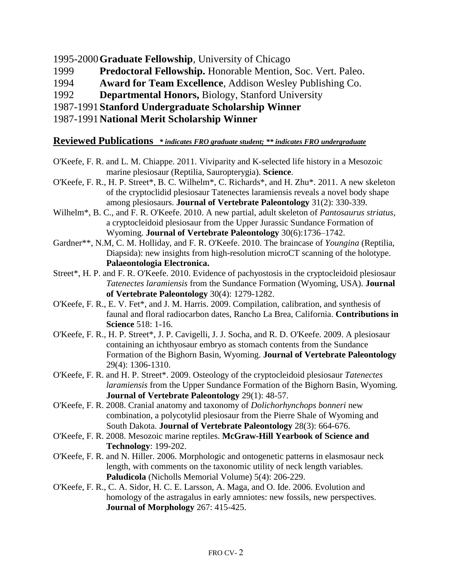1995-2000**Graduate Fellowship**, University of Chicago

- 1999 **Predoctoral Fellowship.** Honorable Mention, Soc. Vert. Paleo.
- 1994 **Award for Team Excellence**, Addison Wesley Publishing Co.
- 1992 **Departmental Honors,** Biology, Stanford University
- 1987-1991**Stanford Undergraduate Scholarship Winner**

1987-1991**National Merit Scholarship Winner**

### **Reviewed Publications** *\* indicates FRO graduate student; \*\* indicates FRO undergraduate*

- O'Keefe, F. R. and L. M. Chiappe. 2011. Viviparity and K-selected life history in a Mesozoic marine plesiosaur (Reptilia, Sauropterygia). **Science**.
- O'Keefe, F. R., H. P. Street\*, B. C. Wilhelm\*, C. Richards\*, and H. Zhu\*. 2011. A new skeleton of the cryptoclidid plesiosaur Tatenectes laramiensis reveals a novel body shape among plesiosaurs. **Journal of Vertebrate Paleontology** 31(2): 330-339.
- Wilhelm\*, B. C., and F. R. O'Keefe. 2010. A new partial, adult skeleton of *Pantosaurus striatus*, a cryptocleidoid plesiosaur from the Upper Jurassic Sundance Formation of Wyoming. **Journal of Vertebrate Paleontology** 30(6):1736–1742.
- Gardner\*\*, N.M, C. M. Holliday, and F. R. O'Keefe. 2010. The braincase of *Youngina* (Reptilia, Diapsida): new insights from high-resolution microCT scanning of the holotype. **Palaeontologia Electronica.**
- Street\*, H. P. and F. R. O'Keefe. 2010. Evidence of pachyostosis in the cryptocleidoid plesiosaur *Tatenectes laramiensis* from the Sundance Formation (Wyoming, USA). **Journal of Vertebrate Paleontology** 30(4): 1279-1282.
- O'Keefe, F. R., E. V. Fet\*, and J. M. Harris. 2009. Compilation, calibration, and synthesis of faunal and floral radiocarbon dates, Rancho La Brea, California. **Contributions in Science** 518: 1-16.
- O'Keefe, F. R., H. P. Street\*, J. P. Cavigelli, J. J. Socha, and R. D. O'Keefe. 2009. A plesiosaur containing an ichthyosaur embryo as stomach contents from the Sundance Formation of the Bighorn Basin, Wyoming. **Journal of Vertebrate Paleontology** 29(4): 1306-1310.
- O'Keefe, F. R. and H. P. Street\*. 2009. Osteology of the cryptocleidoid plesiosaur *Tatenectes laramiensis* from the Upper Sundance Formation of the Bighorn Basin, Wyoming. **Journal of Vertebrate Paleontology** 29(1): 48-57.
- O'Keefe, F. R. 2008. Cranial anatomy and taxonomy of *Dolichorhynchops bonneri* new combination, a polycotylid plesiosaur from the Pierre Shale of Wyoming and South Dakota. **Journal of Vertebrate Paleontology** 28(3): 664-676.
- O'Keefe, F. R. 2008. Mesozoic marine reptiles. **McGraw-Hill Yearbook of Science and Technology**: 199-202.
- O'Keefe, F. R. and N. Hiller. 2006. Morphologic and ontogenetic patterns in elasmosaur neck length, with comments on the taxonomic utility of neck length variables. **Paludicola** (Nicholls Memorial Volume) 5(4): 206-229.
- O'Keefe, F. R., C. A. Sidor, H. C. E. Larsson, A. Maga, and O. Ide. 2006. Evolution and homology of the astragalus in early amniotes: new fossils, new perspectives. **Journal of Morphology** 267: 415-425.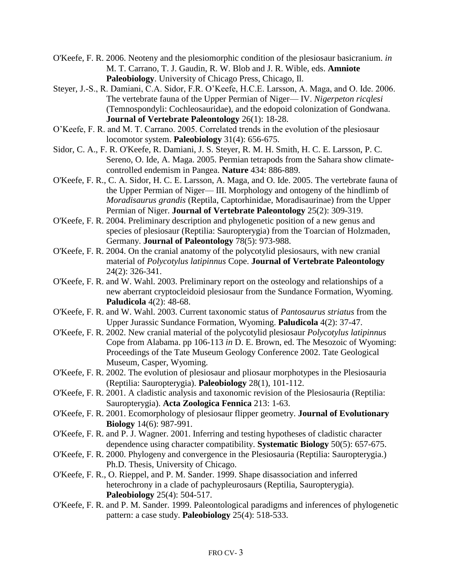- O'Keefe, F. R. 2006. Neoteny and the plesiomorphic condition of the plesiosaur basicranium. *in* M. T. Carrano, T. J. Gaudin, R. W. Blob and J. R. Wible, eds. **Amniote Paleobiology**. University of Chicago Press, Chicago, Il.
- Steyer, J.-S., R. Damiani, C.A. Sidor, F.R. O'Keefe, H.C.E. Larsson, A. Maga, and O. Ide. 2006. The vertebrate fauna of the Upper Permian of Niger— IV. *Nigerpeton ricqlesi* (Temnospondyli: Cochleosauridae), and the edopoid colonization of Gondwana. **Journal of Vertebrate Paleontology** 26(1): 18-28.
- O'Keefe, F. R. and M. T. Carrano. 2005. Correlated trends in the evolution of the plesiosaur locomotor system. **Paleobiology** 31(4): 656-675.
- Sidor, C. A., F. R. O'Keefe, R. Damiani, J. S. Steyer, R. M. H. Smith, H. C. E. Larsson, P. C. Sereno, O. Ide, A. Maga. 2005. Permian tetrapods from the Sahara show climatecontrolled endemism in Pangea. **Nature** 434: 886-889.
- O'Keefe, F. R., C. A. Sidor, H. C. E. Larsson, A. Maga, and O. Ide. 2005. The vertebrate fauna of the Upper Permian of Niger— III. Morphology and ontogeny of the hindlimb of *Moradisaurus grandis* (Reptila, Captorhinidae, Moradisaurinae) from the Upper Permian of Niger. **Journal of Vertebrate Paleontology** 25(2): 309-319.
- O'Keefe, F. R. 2004. Preliminary description and phylogenetic position of a new genus and species of plesiosaur (Reptilia: Sauropterygia) from the Toarcian of Holzmaden, Germany. **Journal of Paleontology** 78(5): 973-988.
- O'Keefe, F. R. 2004. On the cranial anatomy of the polycotylid plesiosaurs, with new cranial material of *Polycotylus latipinnus* Cope. **Journal of Vertebrate Paleontology** 24(2): 326-341.
- O'Keefe, F. R. and W. Wahl. 2003. Preliminary report on the osteology and relationships of a new aberrant cryptocleidoid plesiosaur from the Sundance Formation, Wyoming. **Paludicola** 4(2): 48-68.
- O'Keefe, F. R. and W. Wahl. 2003. Current taxonomic status of *Pantosaurus striatus* from the Upper Jurassic Sundance Formation, Wyoming. **Paludicola** 4(2): 37-47.
- O'Keefe, F. R. 2002. New cranial material of the polycotylid plesiosaur *Polycotylus latipinnus* Cope from Alabama. pp 106-113 *in* D. E. Brown, ed. The Mesozoic of Wyoming: Proceedings of the Tate Museum Geology Conference 2002. Tate Geological Museum, Casper, Wyoming.
- O'Keefe, F. R. 2002. The evolution of plesiosaur and pliosaur morphotypes in the Plesiosauria (Reptilia: Sauropterygia). **Paleobiology** 28(1), 101-112.
- O'Keefe, F. R. 2001. A cladistic analysis and taxonomic revision of the Plesiosauria (Reptilia: Sauropterygia). **Acta Zoologica Fennica** 213: 1-63.
- O'Keefe, F. R. 2001. Ecomorphology of plesiosaur flipper geometry. **Journal of Evolutionary Biology** 14(6): 987-991.
- O'Keefe, F. R. and P. J. Wagner. 2001. Inferring and testing hypotheses of cladistic character dependence using character compatibility. **Systematic Biology** 50(5): 657-675.
- O'Keefe, F. R. 2000. Phylogeny and convergence in the Plesiosauria (Reptilia: Sauropterygia.) Ph.D. Thesis, University of Chicago.
- O'Keefe, F. R., O. Rieppel, and P. M. Sander. 1999. Shape disassociation and inferred heterochrony in a clade of pachypleurosaurs (Reptilia, Sauropterygia). **Paleobiology** 25(4): 504-517.
- O'Keefe, F. R. and P. M. Sander. 1999. Paleontological paradigms and inferences of phylogenetic pattern: a case study. **Paleobiology** 25(4): 518-533.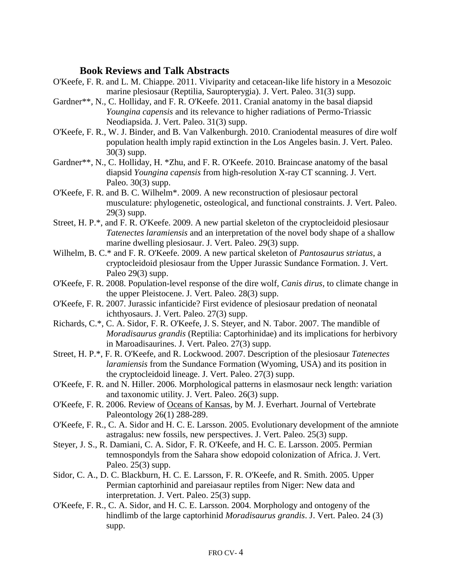#### **Book Reviews and Talk Abstracts**

- O'Keefe, F. R. and L. M. Chiappe. 2011. Viviparity and cetacean-like life history in a Mesozoic marine plesiosaur (Reptilia, Sauropterygia). J. Vert. Paleo. 31(3) supp.
- Gardner\*\*, N., C. Holliday, and F. R. O'Keefe. 2011. Cranial anatomy in the basal diapsid *Youngina capensis* and its relevance to higher radiations of Permo-Triassic Neodiapsida. J. Vert. Paleo. 31(3) supp.
- O'Keefe, F. R., W. J. Binder, and B. Van Valkenburgh. 2010. Craniodental measures of dire wolf population health imply rapid extinction in the Los Angeles basin. J. Vert. Paleo. 30(3) supp.
- Gardner\*\*, N., C. Holliday, H. \*Zhu, and F. R. O'Keefe. 2010. Braincase anatomy of the basal diapsid *Youngina capensis* from high-resolution X-ray CT scanning. J. Vert. Paleo. 30(3) supp.
- O'Keefe, F. R. and B. C. Wilhelm\*. 2009. A new reconstruction of plesiosaur pectoral musculature: phylogenetic, osteological, and functional constraints. J. Vert. Paleo. 29(3) supp.
- Street, H. P.\*, and F. R. O'Keefe. 2009. A new partial skeleton of the cryptocleidoid plesiosaur *Tatenectes laramiensis* and an interpretation of the novel body shape of a shallow marine dwelling plesiosaur. J. Vert. Paleo. 29(3) supp.
- Wilhelm, B. C.\* and F. R. O'Keefe. 2009. A new partical skeleton of *Pantosaurus striatus*, a cryptocleidoid plesiosaur from the Upper Jurassic Sundance Formation. J. Vert. Paleo 29(3) supp.
- O'Keefe, F. R. 2008. Population-level response of the dire wolf, *Canis dirus*, to climate change in the upper Pleistocene. J. Vert. Paleo. 28(3) supp.
- O'Keefe, F. R. 2007. Jurassic infanticide? First evidence of plesiosaur predation of neonatal ichthyosaurs. J. Vert. Paleo. 27(3) supp.
- Richards, C.\*, C. A. Sidor, F. R. O'Keefe, J. S. Steyer, and N. Tabor. 2007. The mandible of *Moradisaurus grandis* (Reptilia: Captorhinidae) and its implications for herbivory in Maroadisaurines. J. Vert. Paleo. 27(3) supp.
- Street, H. P.\*, F. R. O'Keefe, and R. Lockwood. 2007. Description of the plesiosaur *Tatenectes laramiensis* from the Sundance Formation (Wyoming, USA) and its position in the cryptocleidoid lineage. J. Vert. Paleo. 27(3) supp.
- O'Keefe, F. R. and N. Hiller. 2006. Morphological patterns in elasmosaur neck length: variation and taxonomic utility. J. Vert. Paleo. 26(3) supp.
- O'Keefe, F. R. 2006. Review of Oceans of Kansas, by M. J. Everhart. Journal of Vertebrate Paleontology 26(1) 288-289.
- O'Keefe, F. R., C. A. Sidor and H. C. E. Larsson. 2005. Evolutionary development of the amniote astragalus: new fossils, new perspectives. J. Vert. Paleo. 25(3) supp.
- Steyer, J. S., R. Damiani, C. A. Sidor, F. R. O'Keefe, and H. C. E. Larsson. 2005. Permian temnospondyls from the Sahara show edopoid colonization of Africa. J. Vert. Paleo. 25(3) supp.
- Sidor, C. A., D. C. Blackburn, H. C. E. Larsson, F. R. O'Keefe, and R. Smith. 2005. Upper Permian captorhinid and pareiasaur reptiles from Niger: New data and interpretation. J. Vert. Paleo. 25(3) supp.
- O'Keefe, F. R., C. A. Sidor, and H. C. E. Larsson. 2004. Morphology and ontogeny of the hindlimb of the large captorhinid *Moradisaurus grandis*. J. Vert. Paleo. 24 (3) supp.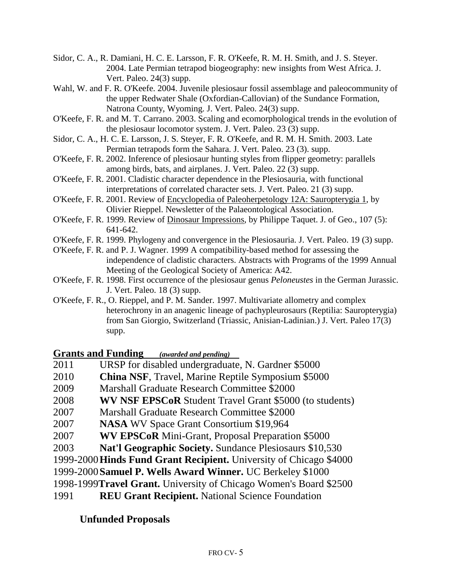- Sidor, C. A., R. Damiani, H. C. E. Larsson, F. R. O'Keefe, R. M. H. Smith, and J. S. Steyer. 2004. Late Permian tetrapod biogeography: new insights from West Africa. J. Vert. Paleo. 24(3) supp.
- Wahl, W. and F. R. O'Keefe. 2004. Juvenile plesiosaur fossil assemblage and paleocommunity of the upper Redwater Shale (Oxfordian-Callovian) of the Sundance Formation, Natrona County, Wyoming. J. Vert. Paleo. 24(3) supp.
- O'Keefe, F. R. and M. T. Carrano. 2003. Scaling and ecomorphological trends in the evolution of the plesiosaur locomotor system. J. Vert. Paleo. 23 (3) supp.
- Sidor, C. A., H. C. E. Larsson, J. S. Steyer, F. R. O'Keefe, and R. M. H. Smith. 2003. Late Permian tetrapods form the Sahara. J. Vert. Paleo. 23 (3). supp.
- O'Keefe, F. R. 2002. Inference of plesiosaur hunting styles from flipper geometry: parallels among birds, bats, and airplanes. J. Vert. Paleo. 22 (3) supp.
- O'Keefe, F. R. 2001. Cladistic character dependence in the Plesiosauria, with functional interpretations of correlated character sets. J. Vert. Paleo. 21 (3) supp.
- O'Keefe, F. R. 2001. Review of Encyclopedia of Paleoherpetology 12A: Sauropterygia 1, by Olivier Rieppel. Newsletter of the Palaeontological Association.
- O'Keefe, F. R. 1999. Review of Dinosaur Impressions, by Philippe Taquet. J. of Geo., 107 (5): 641-642.
- O'Keefe, F. R. 1999. Phylogeny and convergence in the Plesiosauria. J. Vert. Paleo. 19 (3) supp.
- O'Keefe, F. R. and P. J. Wagner. 1999 A compatibility-based method for assessing the independence of cladistic characters. Abstracts with Programs of the 1999 Annual Meeting of the Geological Society of America: A42.
- O'Keefe, F. R. 1998. First occurrence of the plesiosaur genus *Peloneustes* in the German Jurassic. J. Vert. Paleo. 18 (3) supp.
- O'Keefe, F. R., O. Rieppel, and P. M. Sander. 1997. Multivariate allometry and complex heterochrony in an anagenic lineage of pachypleurosaurs (Reptilia: Sauropterygia) from San Giorgio, Switzerland (Triassic, Anisian-Ladinian.) J. Vert. Paleo 17(3) supp.

### **Grants and Funding** *(awarded and pending)*

- 2011 URSP for disabled undergraduate, N. Gardner \$5000
- 2010 **China NSF**, Travel, Marine Reptile Symposium \$5000
- 2009 Marshall Graduate Research Committee \$2000
- 2008 **WV NSF EPSCoR** Student Travel Grant \$5000 (to students)
- 2007 Marshall Graduate Research Committee \$2000
- 2007 **NASA** WV Space Grant Consortium \$19,964
- 2007 **WV EPSCoR** Mini-Grant, Proposal Preparation \$5000
- 2003 **Nat'l Geographic Society.** Sundance Plesiosaurs \$10,530
- 1999-2000**Hinds Fund Grant Recipient.** University of Chicago \$4000
- 1999-2000**Samuel P. Wells Award Winner.** UC Berkeley \$1000
- 1998-1999**Travel Grant.** University of Chicago Women's Board \$2500
- 1991 **REU Grant Recipient.** National Science Foundation

## **Unfunded Proposals**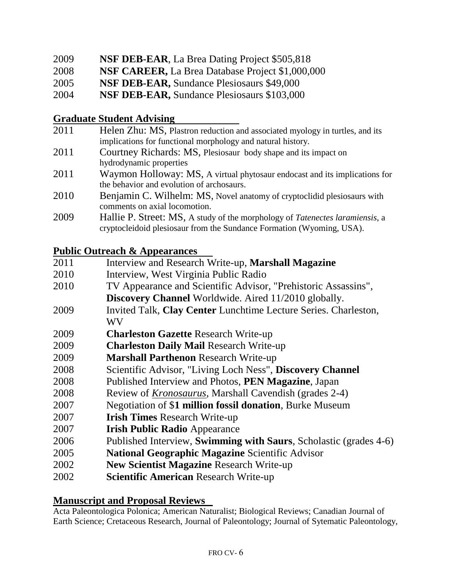| 2009 | <b>NSF DEB-EAR, La Brea Dating Project \$505,818</b>    |
|------|---------------------------------------------------------|
| 2008 | <b>NSF CAREER, La Brea Database Project \$1,000,000</b> |
| 2005 | <b>NSF DEB-EAR, Sundance Plesiosaurs \$49,000</b>       |
| 2004 | <b>NSF DEB-EAR, Sundance Plesiosaurs \$103,000</b>      |

### **Graduate Student Advising**

| 2011 | Helen Zhu: MS, Plastron reduction and associated myology in turtles, and its         |
|------|--------------------------------------------------------------------------------------|
|      | implications for functional morphology and natural history.                          |
| 2011 | Courtney Richards: MS, Plesiosaur body shape and its impact on                       |
|      | hydrodynamic properties                                                              |
| 2011 | Waymon Holloway: MS, A virtual phytosaur endocast and its implications for           |
|      | the behavior and evolution of archosaurs.                                            |
| 2010 | Benjamin C. Wilhelm: MS, Novel anatomy of cryptoclidid plesiosaurs with              |
|      | comments on axial locomotion.                                                        |
| 2009 | Hallie P. Street: MS, A study of the morphology of <i>Tatenectes laramiensis</i> , a |
|      | cryptocleidoid plesiosaur from the Sundance Formation (Wyoming, USA).                |

## **Public Outreach & Appearances**

| 2011 | Interview and Research Write-up, Marshall Magazine                |
|------|-------------------------------------------------------------------|
| 2010 | Interview, West Virginia Public Radio                             |
| 2010 | TV Appearance and Scientific Advisor, "Prehistoric Assassins",    |
|      | <b>Discovery Channel Worldwide. Aired 11/2010 globally.</b>       |
| 2009 | Invited Talk, Clay Center Lunchtime Lecture Series. Charleston,   |
|      | WV                                                                |
| 2009 | <b>Charleston Gazette Research Write-up</b>                       |
| 2009 | <b>Charleston Daily Mail Research Write-up</b>                    |
| 2009 | <b>Marshall Parthenon Research Write-up</b>                       |
| 2008 | Scientific Advisor, "Living Loch Ness", Discovery Channel         |
| 2008 | Published Interview and Photos, <b>PEN Magazine</b> , Japan       |
| 2008 | Review of <i>Kronosaurus</i> , Marshall Cavendish (grades 2-4)    |
| 2007 | Negotiation of \$1 million fossil donation, Burke Museum          |
| 2007 | <b>Irish Times Research Write-up</b>                              |
| 2007 | <b>Irish Public Radio Appearance</b>                              |
| 2006 | Published Interview, Swimming with Saurs, Scholastic (grades 4-6) |
| 2005 | <b>National Geographic Magazine Scientific Advisor</b>            |
| 2002 | <b>New Scientist Magazine Research Write-up</b>                   |
| 2002 | <b>Scientific American Research Write-up</b>                      |
|      |                                                                   |

## **Manuscript and Proposal Reviews**

Acta Paleontologica Polonica; American Naturalist; Biological Reviews; Canadian Journal of Earth Science; Cretaceous Research, Journal of Paleontology; Journal of Sytematic Paleontology,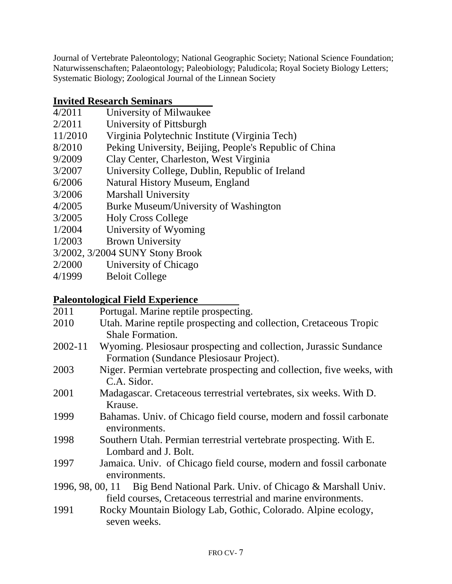Journal of Vertebrate Paleontology; National Geographic Society; National Science Foundation; Naturwissenschaften; Palaeontology; Paleobiology; Paludicola; Royal Society Biology Letters; Systematic Biology; Zoological Journal of the Linnean Society

### **Invited Research Seminars**

- 4/2011 University of Milwaukee
- 2/2011 University of Pittsburgh
- 11/2010 Virginia Polytechnic Institute (Virginia Tech)
- 8/2010 Peking University, Beijing, People's Republic of China
- 9/2009 Clay Center, Charleston, West Virginia
- 3/2007 University College, Dublin, Republic of Ireland
- 6/2006 Natural History Museum, England
- 3/2006 Marshall University
- 4/2005 Burke Museum/University of Washington
- 3/2005 Holy Cross College
- 1/2004 University of Wyoming
- 1/2003 Brown University
- 3/2002, 3/2004 SUNY Stony Brook
- 2/2000 University of Chicago
- 4/1999 Beloit College

## **Paleontological Field Experience**

- 2011 Portugal. Marine reptile prospecting. 2010 Utah. Marine reptile prospecting and collection, Cretaceous Tropic Shale Formation. 2002-11 Wyoming. Plesiosaur prospecting and collection, Jurassic Sundance Formation (Sundance Plesiosaur Project). 2003 Niger. Permian vertebrate prospecting and collection, five weeks, with C.A. Sidor. 2001 Madagascar. Cretaceous terrestrial vertebrates, six weeks. With D. Krause.
- 1999 Bahamas. Univ. of Chicago field course, modern and fossil carbonate environments.
- 1998 Southern Utah. Permian terrestrial vertebrate prospecting. With E. Lombard and J. Bolt.
- 1997 Jamaica. Univ. of Chicago field course, modern and fossil carbonate environments.
- 1996, 98, 00, 11 Big Bend National Park. Univ. of Chicago & Marshall Univ. field courses, Cretaceous terrestrial and marine environments.
- 1991 Rocky Mountain Biology Lab, Gothic, Colorado. Alpine ecology, seven weeks.